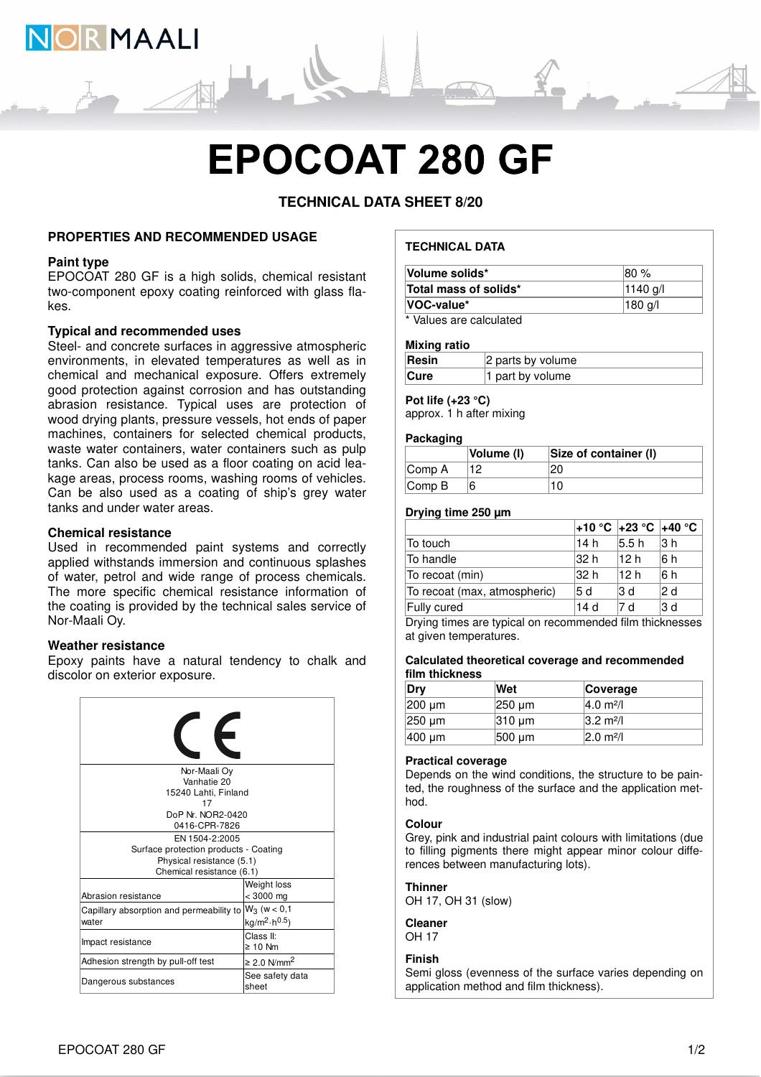

# **EPOCOAT 280 GF**

**TECHNICAL DATA SHEET 8/20**

## **PROPERTIES AND RECOMMENDED USAGE**

## **Paint type**

EPOCOAT 280 GF is a high solids, chemical resistant two-component epoxy coating reinforced with glass flakes.

## **Typical and recommended uses**

Steel- and concrete surfaces in aggressive atmospheric environments, in elevated temperatures as well as in chemical and mechanical exposure. Offers extremely good protection against corrosion and has outstanding abrasion resistance. Typical uses are protection of wood drying plants, pressure vessels, hot ends of paper machines, containers for selected chemical products, waste water containers, water containers such as pulp tanks. Can also be used as a floor coating on acid leakage areas, process rooms, washing rooms of vehicles. Can be also used as a coating of ship's grey water tanks and under water areas.

## **Chemical resistance**

Used in recommended paint systems and correctly applied withstands immersion and continuous splashes of water, petrol and wide range of process chemicals. The more specific chemical resistance information of the coating is provided by the technical sales service of Nor-Maali Oy.

#### **Weather resistance**

Epoxy paints have a natural tendency to chalk and discolor on exterior exposure.



## **TECHNICAL DATA**

| Volume solids*                | 180 %             |
|-------------------------------|-------------------|
| Total mass of solids*         | $ 1140 \text{ q}$ |
| VOC-value*                    | 180 g/l           |
| * Malerea and a classic to di |                   |

Values are calculated

#### **Mixing ratio**

| Resin | 2 parts by volume |
|-------|-------------------|
| Cure  | 1 part by volume  |

## **Pot life (+23 °C)**

approx. 1 h after mixing

#### **Packaging**

|                             | Volume (I) | Size of container (I) |
|-----------------------------|------------|-----------------------|
| $\mathsf{Comp}\,\mathsf{A}$ |            | 20                    |
| $\mathsf{Comp}\,\mathsf{B}$ |            | 10                    |

#### **Drying time 250 µm**

|                              |      | 1+10 °C +23 °C +40 °C |      |
|------------------------------|------|-----------------------|------|
| To touch                     | 14 h | 5.5h                  | l3 h |
| To handle                    | 32 h | 112 h                 | 6h   |
| To recoat (min)              | 32 h | 112 h                 | 6h   |
| To recoat (max, atmospheric) | 15 d | 13 d                  | 2 d  |
| Fully cured                  | 14d  | 7 d                   | l3 d |
|                              |      |                       |      |

Drying times are typical on recommended film thicknesses at given temperatures.

#### **Calculated theoretical coverage and recommended film thickness**

| Drv    | Wet                | Coverage                     |
|--------|--------------------|------------------------------|
| 200 µm | $ 250 \text{ µm} $ | $ 4.0 \text{ m}^2/\text{l} $ |
| 250 µm | $310 \mu m$        | $ 3.2 \text{ m}^2 $          |
| 400 µm | 500 um             | $ 2.0 \text{ m}^2/\text{l} $ |

#### **Practical coverage**

Depends on the wind conditions, the structure to be painted, the roughness of the surface and the application method.

#### **Colour**

Grey, pink and industrial paint colours with limitations (due to filling pigments there might appear minor colour differences between manufacturing lots).

## **Thinner**

OH 17, OH 31 (slow)

## **Cleaner**

OH 17

## **Finish**

Semi gloss (evenness of the surface varies depending on application method and film thickness).